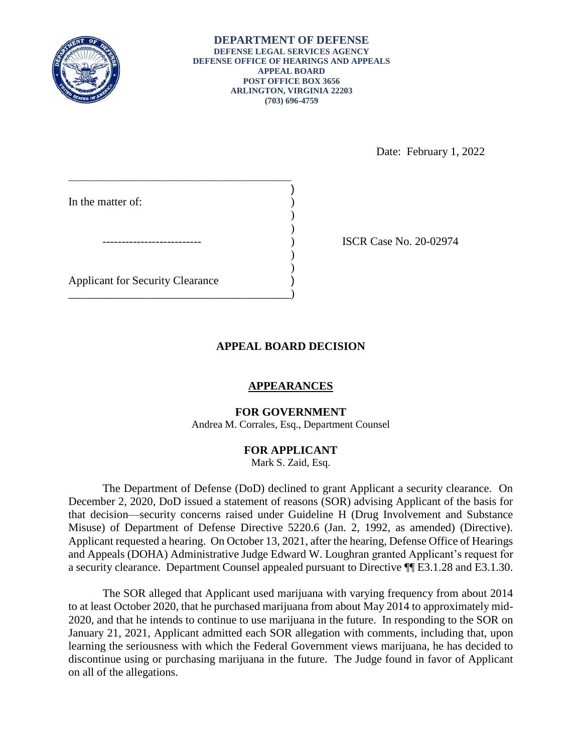

)

) ) Date: February 1, 2022

\_\_\_\_\_\_\_\_\_\_\_\_\_\_\_\_\_\_\_\_\_\_\_\_\_\_\_\_\_\_\_\_\_\_\_\_\_\_\_\_\_\_\_\_\_\_\_ In the matter of:  $)$  $)$ Applicant for Security Clearance ) \_\_\_\_\_\_\_\_\_\_\_\_\_\_\_\_\_\_\_\_\_\_\_\_\_\_\_\_\_\_\_\_\_\_\_\_\_\_\_)

ISCR Case No. 20-02974

# **APPEAL BOARD DECISION**

## **APPEARANCES**

## **FOR GOVERNMENT**

Andrea M. Corrales, Esq., Department Counsel

## **FOR APPLICANT**

Mark S. Zaid, Esq.

 The Department of Defense (DoD) declined to grant Applicant a security clearance. On December 2, 2020, DoD issued a statement of reasons (SOR) advising Applicant of the basis for Misuse) of Department of Defense Directive 5220.6 (Jan. 2, 1992, as amended) (Directive). Applicant requested a hearing. On October 13, 2021, after the hearing, Defense Office of Hearings and Appeals (DOHA) Administrative Judge Edward W. Loughran granted Applicant's request for a security clearance. Department Counsel appealed pursuant to Directive ¶¶ E3.1.28 and E3.1.30. that decision—security concerns raised under Guideline H (Drug Involvement and Substance

 The SOR alleged that Applicant used marijuana with varying frequency from about 2014 discontinue using or purchasing marijuana in the future. The Judge found in favor of Applicant to at least October 2020, that he purchased marijuana from about May 2014 to approximately mid-2020, and that he intends to continue to use marijuana in the future. In responding to the SOR on January 21, 2021, Applicant admitted each SOR allegation with comments, including that, upon learning the seriousness with which the Federal Government views marijuana, he has decided to on all of the allegations.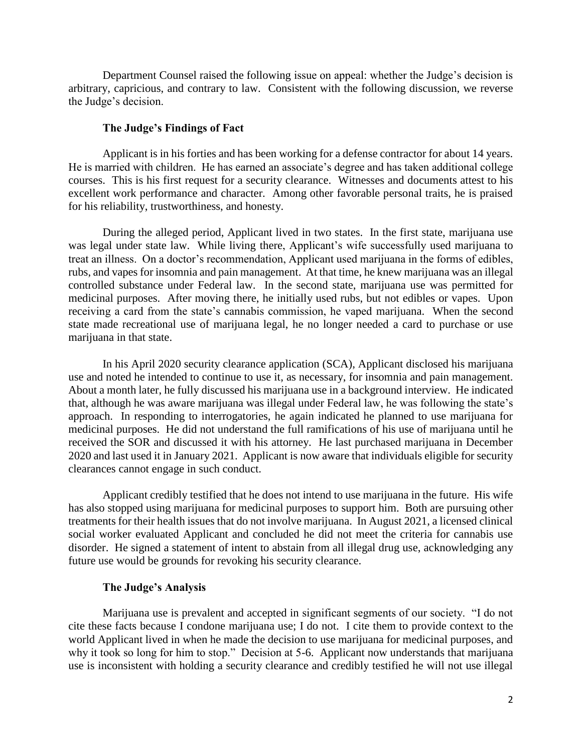Department Counsel raised the following issue on appeal: whether the Judge's decision is arbitrary, capricious, and contrary to law. Consistent with the following discussion, we reverse the Judge's decision.

#### **The Judge's Findings of Fact**

 Applicant is in his forties and has been working for a defense contractor for about 14 years. He is married with children. He has earned an associate's degree and has taken additional college courses. This is his first request for a security clearance. Witnesses and documents attest to his excellent work performance and character. Among other favorable personal traits, he is praised for his reliability, trustworthiness, and honesty.

 During the alleged period, Applicant lived in two states. In the first state, marijuana use was legal under state law. While living there, Applicant's wife successfully used marijuana to treat an illness. On a doctor's recommendation, Applicant used marijuana in the forms of edibles, controlled substance under Federal law. In the second state, marijuana use was permitted for medicinal purposes. After moving there, he initially used rubs, but not edibles or vapes. Upon receiving a card from the state's cannabis commission, he vaped marijuana. When the second state made recreational use of marijuana legal, he no longer needed a card to purchase or use rubs, and vapes for insomnia and pain management. At that time, he knew marijuana was an illegal marijuana in that state.

 In his April 2020 security clearance application (SCA), Applicant disclosed his marijuana use and noted he intended to continue to use it, as necessary, for insomnia and pain management. About a month later, he fully discussed his marijuana use in a background interview. He indicated approach. In responding to interrogatories, he again indicated he planned to use marijuana for medicinal purposes. He did not understand the full ramifications of his use of marijuana until he received the SOR and discussed it with his attorney. He last purchased marijuana in December 2020 and last used it in January 2021. Applicant is now aware that individuals eligible for security that, although he was aware marijuana was illegal under Federal law, he was following the state's clearances cannot engage in such conduct.

 Applicant credibly testified that he does not intend to use marijuana in the future. His wife treatments for their health issues that do not involve marijuana. In August 2021, a licensed clinical social worker evaluated Applicant and concluded he did not meet the criteria for cannabis use disorder. He signed a statement of intent to abstain from all illegal drug use, acknowledging any has also stopped using marijuana for medicinal purposes to support him. Both are pursuing other future use would be grounds for revoking his security clearance.

### **The Judge's Analysis**

 Marijuana use is prevalent and accepted in significant segments of our society. "I do not cite these facts because I condone marijuana use; I do not. I cite them to provide context to the world Applicant lived in when he made the decision to use marijuana for medicinal purposes, and why it took so long for him to stop." Decision at 5-6. Applicant now understands that marijuana use is inconsistent with holding a security clearance and credibly testified he will not use illegal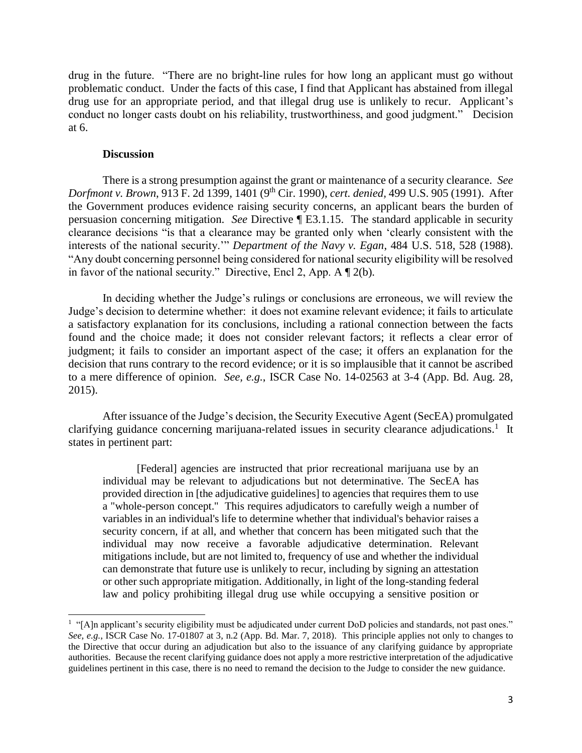drug in the future. "There are no bright-line rules for how long an applicant must go without drug use for an appropriate period, and that illegal drug use is unlikely to recur. Applicant's conduct no longer casts doubt on his reliability, trustworthiness, and good judgment." Decision problematic conduct. Under the facts of this case, I find that Applicant has abstained from illegal at 6.

#### **Discussion**

 $\overline{a}$ 

 There is a strong presumption against the grant or maintenance of a security clearance. *See Dorfmont v. Brown*, 913 F. 2d 1399, 1401 (9th Cir. 1990), *cert. denied,* 499 U.S. 905 (1991). After the Government produces evidence raising security concerns, an applicant bears the burden of persuasion concerning mitigation. *See* Directive ¶ E3.1.15. The standard applicable in security clearance decisions "is that a clearance may be granted only when 'clearly consistent with the interests of the national security.'" *Department of the Navy v. Egan*, 484 U.S. 518, 528 (1988). "Any doubt concerning personnel being considered for national security eligibility will be resolved in favor of the national security." Directive, Encl 2, App. A ¶ 2(b).

 In deciding whether the Judge's rulings or conclusions are erroneous, we will review the Judge's decision to determine whether: it does not examine relevant evidence; it fails to articulate a satisfactory explanation for its conclusions, including a rational connection between the facts found and the choice made; it does not consider relevant factors; it reflects a clear error of decision that runs contrary to the record evidence; or it is so implausible that it cannot be ascribed to a mere difference of opinion. *See, e.g.*, ISCR Case No. 14-02563 at 3-4 (App. Bd. Aug. 28, judgment; it fails to consider an important aspect of the case; it offers an explanation for the 2015).

 After issuance of the Judge's decision, the Security Executive Agent (SecEA) promulgated clarifying guidance concerning marijuana-related issues in security clearance adjudications.<sup>1</sup> It states in pertinent part:

 [Federal] agencies are instructed that prior recreational marijuana use by an individual may be relevant to adjudications but not determinative. The SecEA has provided direction in [the adjudicative guidelines] to agencies that requires them to use a "whole-person concept." This requires adjudicators to carefully weigh a number of variables in an individual's life to determine whether that individual's behavior raises a security concern, if at all, and whether that concern has been mitigated such that the individual may now receive a favorable adjudicative determination. Relevant mitigations include, but are not limited to, frequency of use and whether the individual can demonstrate that future use is unlikely to recur, including by signing an attestation or other such appropriate mitigation. Additionally, in light of the long-standing federal law and policy prohibiting illegal drug use while occupying a sensitive position or

 $<sup>1</sup>$  "[A]n applicant's security eligibility must be adjudicated under current DoD policies and standards, not past ones."</sup> *See, e.g.*, ISCR Case No. 17-01807 at 3, n.2 (App. Bd. Mar. 7, 2018). This principle applies not only to changes to the Directive that occur during an adjudication but also to the issuance of any clarifying guidance by appropriate authorities. Because the recent clarifying guidance does not apply a more restrictive interpretation of the adjudicative guidelines pertinent in this case, there is no need to remand the decision to the Judge to consider the new guidance.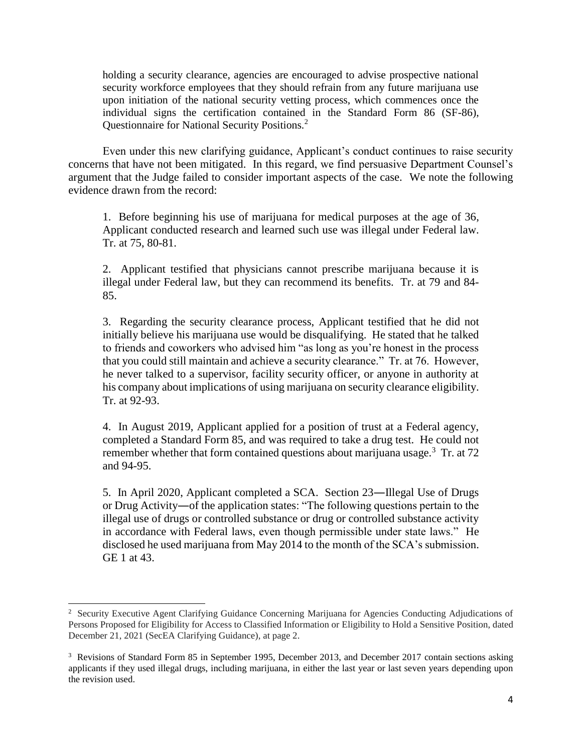holding a security clearance, agencies are encouraged to advise prospective national security workforce employees that they should refrain from any future marijuana use upon initiation of the national security vetting process, which commences once the individual signs the certification contained in the Standard Form 86 (SF-86), Questionnaire for National Security Positions.<sup>2</sup>

 concerns that have not been mitigated. In this regard, we find persuasive Department Counsel's argument that the Judge failed to consider important aspects of the case. We note the following Even under this new clarifying guidance, Applicant's conduct continues to raise security evidence drawn from the record:

 Applicant conducted research and learned such use was illegal under Federal law. Tr. at 75, 80-81. 1. Before beginning his use of marijuana for medical purposes at the age of 36,

 2. Applicant testified that physicians cannot prescribe marijuana because it is illegal under Federal law, but they can recommend its benefits. Tr. at 79 and 84- 85.

 3. Regarding the security clearance process, Applicant testified that he did not initially believe his marijuana use would be disqualifying. He stated that he talked that you could still maintain and achieve a security clearance." Tr. at 76. However, he never talked to a supervisor, facility security officer, or anyone in authority at his company about implications of using marijuana on security clearance eligibility. to friends and coworkers who advised him "as long as you're honest in the process Tr. at 92-93.

 completed a Standard Form 85, and was required to take a drug test. He could not 4. In August 2019, Applicant applied for a position of trust at a Federal agency, remember whether that form contained questions about marijuana usage.<sup>3</sup> Tr. at 72 and 94-95.

 5. In April 2020, Applicant completed a SCA. Section 23―Illegal Use of Drugs or Drug Activity―of the application states: "The following questions pertain to the illegal use of drugs or controlled substance or drug or controlled substance activity in accordance with Federal laws, even though permissible under state laws." He disclosed he used marijuana from May 2014 to the month of the SCA's submission. GE 1 at 43.

 $\overline{a}$ 

<sup>&</sup>lt;sup>2</sup> Security Executive Agent Clarifying Guidance Concerning Marijuana for Agencies Conducting Adjudications of Persons Proposed for Eligibility for Access to Classified Information or Eligibility to Hold a Sensitive Position, dated December 21, 2021 (SecEA Clarifying Guidance), at page 2.

<sup>&</sup>lt;sup>3</sup> Revisions of Standard Form 85 in September 1995, December 2013, and December 2017 contain sections asking applicants if they used illegal drugs, including marijuana, in either the last year or last seven years depending upon the revision used.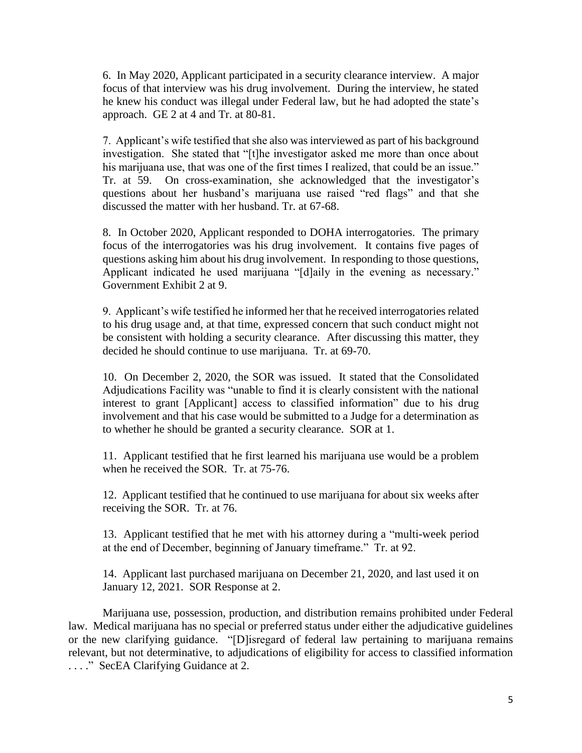focus of that interview was his drug involvement. During the interview, he stated approach. GE  $2$  at  $4$  and Tr. at 80-81. 6. In May 2020, Applicant participated in a security clearance interview. A major he knew his conduct was illegal under Federal law, but he had adopted the state's

 investigation. She stated that "[t]he investigator asked me more than once about his marijuana use, that was one of the first times I realized, that could be an issue." questions about her husband's marijuana use raised "red flags" and that she discussed the matter with her husband. Tr. at 67-68. discussed the matter with her husband. Tr. at 67-68.<br>8. In October 2020, Applicant responded to DOHA interrogatories. The primary 7. Applicant's wife testified that she also was interviewed as part of his background Tr. at 59. On cross-examination, she acknowledged that the investigator's

 focus of the interrogatories was his drug involvement. It contains five pages of questions asking him about his drug involvement. In responding to those questions, Applicant indicated he used marijuana "[d]aily in the evening as necessary." Government Exhibit 2 at 9.

 9. Applicant's wife testified he informed her that he received interrogatories related to his drug usage and, at that time, expressed concern that such conduct might not be consistent with holding a security clearance. After discussing this matter, they decided he should continue to use marijuana. Tr. at 69-70.

 10. On December 2, 2020, the SOR was issued. It stated that the Consolidated Adjudications Facility was "unable to find it is clearly consistent with the national interest to grant [Applicant] access to classified information" due to his drug involvement and that his case would be submitted to a Judge for a determination as to whether he should be granted a security clearance. SOR at 1.

 11. Applicant testified that he first learned his marijuana use would be a problem when he received the SOR. Tr. at 75-76.

 12. Applicant testified that he continued to use marijuana for about six weeks after receiving the SOR. Tr. at 76.

 13. Applicant testified that he met with his attorney during a "multi-week period at the end of December, beginning of January timeframe." Tr. at 92.

14. Applicant last purchased marijuana on December 21, 2020, and last used it on January 12, 2021. SOR Response at 2.

 law. Medical marijuana has no special or preferred status under either the adjudicative guidelines or the new clarifying guidance. "[D]isregard of federal law pertaining to marijuana remains relevant, but not determinative, to adjudications of eligibility for access to classified information ...." SecEA Clarifying Guidance at 2. Marijuana use, possession, production, and distribution remains prohibited under Federal